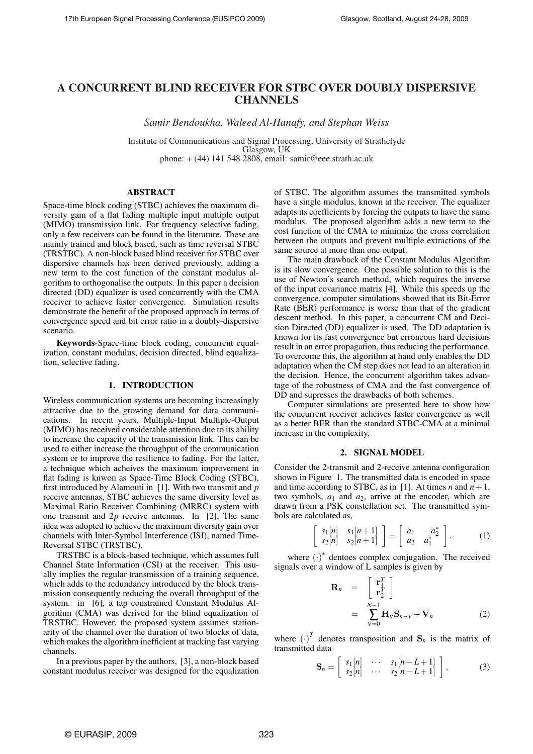# A CONCURRENT BLIND RECEIVER FOR STBC OVER DOUBLY DISPERSIVE **CHANNELS**

*Samir Bendoukha, Waleed Al-Hanafy, and Stephan Weiss*

Institute of Communications and Signal Processing, University of Strathclyde Glasgow, UK phone: + (44) 141 548 2808, email: samir@eee.strath.ac.uk

# ABSTRACT

Space-time block coding (STBC) achieves the maximum diversity gain of a flat fading multiple input multiple output (MIMO) transmission link. For frequency selective fading, only a few receivers can be found in the literature. These are mainly trained and block based, such as time reversal STBC (TRSTBC). A non-block based blind receiver for STBC over dispersive channels has been derived previously, adding a new term to the cost function of the constant modulus algorithm to orthogonalise the outputs. In this paper a decision directed (DD) equalizer is used concurrently with the CMA receiver to achieve faster convergence. Simulation results demonstrate the benefit of the proposed approach in terms of convergence speed and bit error ratio in a doubly-dispersive scenario.

Keywords-Space-time block coding, concurrent equalization, constant modulus, decision directed, blind equalization, selective fading.

# 1. INTRODUCTION

Wireless communication systems are becoming increasingly attractive due to the growing demand for data communications. In recent years, Multiple-Input Multiple-Output (MIMO) has received considerable attention due to its ability to increase the capacity of the transmission link. This can be used to either increase the throughput of the communication system or to improve the resilience to fading. For the latter, a technique which acheives the maximum improvement in flat fading is knwon as Space-Time Block Coding (STBC), first introduced by Alamouti in [1]. With two transmit and *p* receive antennas, STBC achieves the same diversity level as Maximal Ratio Receiver Combining (MRRC) system with one transmit and 2*p* receive antennas. In [2], The same idea was adopted to achieve the maximum diversity gain over channels with Inter-Symbol Interference (ISI), named Time-Reversal STBC (TRSTBC).

TRSTBC is a block-based technique, which assumes full Channel State Information (CSI) at the receiver. This usually implies the regular transmission of a training sequence, which adds to the redundancy introduced by the block transmission consequently reducing the overall throughput of the system. in [6], a tap constrained Constant Modulus Algorithm (CMA) was derived for the blind equalization of TRSTBC. However, the proposed system assumes stationarity of the channel over the duration of two blocks of data, which makes the algorithm inefficient at tracking fast varying channels.

In a previous paper by the authors, [3], a non-block based constant modulus receiver was designed for the equalization of STBC. The algorithm assumes the transmitted symbols have a single modulus, known at the receiver. The equalizer adapts its coefficients by forcing the outputs to have the same modulus. The proposed algorithm adds a new term to the cost function of the CMA to minimize the cross correlation between the outputs and prevent multiple extractions of the same source at more than one output.

The main drawback of the Constant Modulus Algorithm is its slow convergence. One possible solution to this is the use of Newton's search method, which requires the inverse of the input covariance matrix [4]. While this speeds up the convergence, computer simulations showed that its Bit-Error Rate (BER) performance is worse than that of the gradient descent method. In this paper, a concurrent CM and Decision Directed (DD) equalizer is used. The DD adaptation is known for its fast convergence but erroneous hard decisions result in an error propagation, thus reducing the performance. To overcome this, the algorithm at hand only enables the DD adaptation when the CM step does not lead to an alteration in the decision. Hence, the concurrent algorithm takes advantage of the robustness of CMA and the fast convergence of DD and supresses the drawbacks of both schemes.

Computer simulations are presented here to show how the concurrent receiver acheives faster convergence as well as a better BER than the standard STBC-CMA at a minimal increase in the complexity.

### 2. SIGNAL MODEL

Consider the 2-transmit and 2-receive antenna configuration shown in Figure 1. The transmitted data is encoded in space and time according to STBC, as in [1]. At times *n* and  $n+1$ , two symbols,  $a_1$  and  $a_2$ , arrive at the encoder, which are drawn from a PSK constellation set. The transmitted symbols are calculated as, .<br>م

$$
\begin{array}{c}\ns_1[n] & s_1[n+1] \\
s_2[n] & s_2[n+1]\n\end{array}\n\bigg] = \begin{bmatrix}\na_1 & -a_2^* \\
a_2 & a_1^*\n\end{bmatrix}.
$$
\n(1)

where  $(\cdot)^*$  dentoes complex conjugation. The received signals over a window of L samples is given by

$$
\mathbf{R}_n = \begin{bmatrix} \mathbf{r}_1^T \\ \mathbf{r}_2^T \end{bmatrix}
$$
  
= 
$$
\sum_{v=0}^{N-1} \mathbf{H}_v \mathbf{S}_{n-v} + \mathbf{V}_n
$$
 (2)

where  $(\cdot)^T$  denotes transposition and  $S_n$  is the matrix of transmitted data ·  $\overline{a}$ 

$$
\mathbf{S}_n = \left[ \begin{array}{ccc} s_1[n] & \cdots & s_1[n-L+1] \\ s_2[n] & \cdots & s_2[n-L+1] \end{array} \right],\tag{3}
$$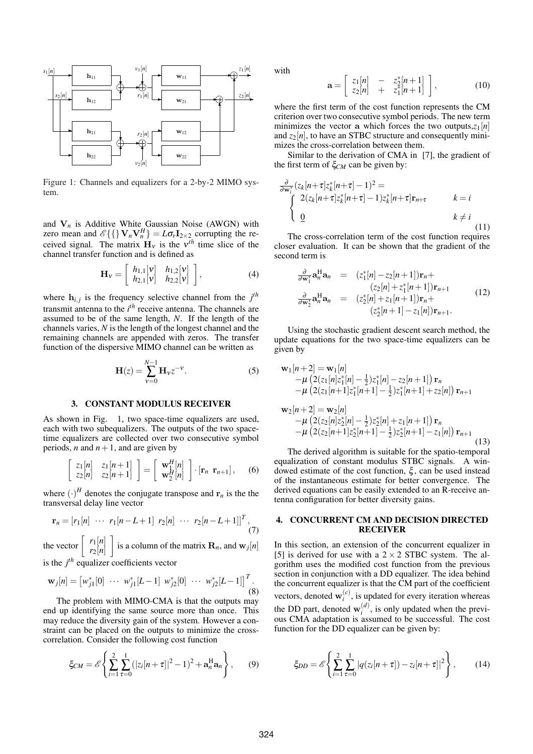

Figure 1: Channels and equalizers for a 2-by-2 MIMO system.

and  $V_n$  is Additive White Gaussian Noise (AWGN) with zero mean and  $\mathscr{E}\{\}\mathbf{V}_n\mathbf{V}_n^H\} = L\sigma_r\mathbf{I}_{2\times 2}$  corrupting the received signal. The matrix  $H_v$  is the  $v^{th}$  time slice of the channel transfer function and is defined as ·  $\overline{a}$ 

$$
\mathbf{H}_{\mathbf{v}} = \left[ \begin{array}{cc} h_{1,1}[\mathbf{v}] & h_{1,2}[\mathbf{v}] \\ h_{2,1}[\mathbf{v}] & h_{2,2}[\mathbf{v}] \end{array} \right],\tag{4}
$$

where  $h_{i,j}$  is the frequency selective channel from the  $j^{th}$ transmit antenna to the *i th* receive antenna. The channels are assumed to be of the same length, *N*. If the length of the channels varies, *N* is the length of the longest channel and the remaining channels are appended with zeros. The transfer function of the dispersive MIMO channel can be written as

$$
\mathbf{H}(z) = \sum_{v=0}^{N-1} \mathbf{H}_v z^{-v}.
$$
 (5)

### 3. CONSTANT MODULUS RECEIVER

As shown in Fig. 1, two space-time equalizers are used, each with two subequalizers. The outputs of the two spacetime equalizers are collected over two consecutive symbol periods, *n* and  $n+1$ , and are given by

$$
\begin{bmatrix} z_1[n] & z_1[n+1] \\ z_2[n] & z_2[n+1] \end{bmatrix} = \begin{bmatrix} \mathbf{w}_1^H[n] \\ \mathbf{w}_2^H[n] \end{bmatrix} \cdot [\mathbf{r}_n \ \mathbf{r}_{n+1}], \quad (6)
$$

where  $(\cdot)^H$  denotes the conjugate transpose and  $\mathbf{r}_n$  is the the transversal delay line vector

$$
\mathbf{r}_n = [r_1[n] \cdots \ r_1[n-L+1] \ r_2[n] \cdots \ r_2[n-L+1]]^T, \tag{7}
$$

the vector  $\begin{bmatrix} r_1[n] \\ r_2[n] \end{bmatrix}$ *r*2[*n*] is a column of the matrix  $\mathbf{R}_n$ , and  $\mathbf{w}_j[n]$ 

is the  $j<sup>th</sup>$  equalizer coefficients vector

$$
\mathbf{w}_{j}[n] = \begin{bmatrix} w_{j1}^{*}[0] & \cdots & w_{j1}^{*}[L-1] & w_{j2}^{*}[0] & \cdots & w_{j2}^{*}[L-1] \end{bmatrix}^{T}.
$$
\n(8)

The problem with MIMO-CMA is that the outputs may end up identifying the same source more than once. This may reduce the diversity gain of the system. However a constraint can be placed on the outputs to minimize the crosscorrelation. Consider the following cost function

$$
\xi_{CM} = \mathscr{E} \left\{ \sum_{i=1}^{2} \sum_{\tau=0}^{1} (|z_i[n+\tau]|^2 - 1)^2 + \mathbf{a}_n^{\mathrm{H}} \mathbf{a}_n \right\},\qquad(9)
$$

with

$$
\mathbf{a} = \begin{bmatrix} z_1[n] & - & z_2^*[n+1] \\ z_2[n] & + & z_1^*[n+1] \end{bmatrix},
$$
 (10)

where the first term of the cost function represents the CM criterion over two consecutive symbol periods. The new term minimizes the vector a which forces the two outputs, $z_1[n]$ and  $z_2[n]$ , to have an STBC structure and consequently minimizes the cross-correlation between them.

Similar to the derivation of CMA in [7], the gradient of the first term of ξ*CM* can be given by:

$$
\frac{\partial}{\partial \mathbf{w}_i^*} (z_k[n+\tau]z_k^*[n+\tau]-1)^2 =
$$
\n
$$
\begin{cases}\n2(z_k[n+\tau]z_k^*[n+\tau]-1)z_k^*[n+\tau]\mathbf{r}_{n+\tau} & k=i \\
\underline{0} & k \neq i\n\end{cases}
$$
\n(11)

The cross-correlation term of the cost function requires closer evaluation. It can be shown that the gradient of the second term is

$$
\frac{\partial}{\partial \mathbf{w}_1^*} \mathbf{a}_n^{\mathbf{H}} \mathbf{a}_n = (z_1^*[n] - z_2[n+1]) \mathbf{r}_n + (z_2[n] + z_1^*[n+1]) \mathbf{r}_{n+1}
$$
\n
$$
\frac{\partial}{\partial \mathbf{w}_2^*} \mathbf{a}_n^{\mathbf{H}} \mathbf{a}_n = (z_2^*[n] + z_1[n+1]) \mathbf{r}_n + (z_2^*[n+1] - z_1[n]) \mathbf{r}_{n+1}.
$$
\n(12)

Using the stochastic gradient descent search method, the update equations for the two space-time equalizers can be given by

$$
\mathbf{w}_{1}[n+2] = \mathbf{w}_{1}[n] \n- \mu \left( 2(z_{1}[n]z_{1}^{*}[n] - \frac{1}{2})z_{1}^{*}[n] - z_{2}[n+1] \right) \mathbf{r}_{n} \n- \mu \left( 2(z_{1}[n+1]z_{1}^{*}[n+1] - \frac{1}{2})z_{1}^{*}[n+1] + z_{2}[n] \right) \mathbf{r}_{n+1} \n\mathbf{w}_{2}[n+2] = \mathbf{w}_{2}[n] \n- \mu \left( 2(z_{2}[n]z_{2}^{*}[n] - \frac{1}{2})z_{2}^{*}[n] + z_{1}[n+1] \right) \mathbf{r}_{n} \n- \mu \left( 2(z_{2}[n+1]z_{2}^{*}[n+1] - \frac{1}{2})z_{2}^{*}[n+1] - z_{1}[n] \right) \mathbf{r}_{n+1}
$$
\n(13)

The derived algorithm is suitable for the spatio-temporal equalization of constant modulus STBC signals. A windowed estimate of the cost function,  $\xi$ , can be used instead of the instantaneous estimate for better convergence. The derived equations can be easily extended to an R-receive antenna configuration for better diversity gains.

### 4. CONCURRENT CM AND DECISION DIRECTED RECEIVER

In this section, an extension of the concurrent equalizer in [5] is derived for use with a  $2 \times 2$  STBC system. The algorithm uses the modified cost function from the previous section in conjunction with a DD equalizer. The idea behind the concurrent equalizer is that the CM part of the coefficient vectors, denoted  $\mathbf{w}_i^{(c)}$  $i<sup>(c)</sup>$ , is updated for every iteration whereas the DD part, denoted  $\mathbf{w}_i^{(d)}$  $i^{(a)}$ , is only updated when the previous CMA adaptation is assumed to be successful. The cost function for the DD equalizer can be given by:

$$
\xi_{DD} = \mathscr{E}\left\{\sum_{i=1}^{2}\sum_{\tau=0}^{1}|q(z_i[n+\tau]) - z_i[n+\tau]|^2\right\},\qquad(14)
$$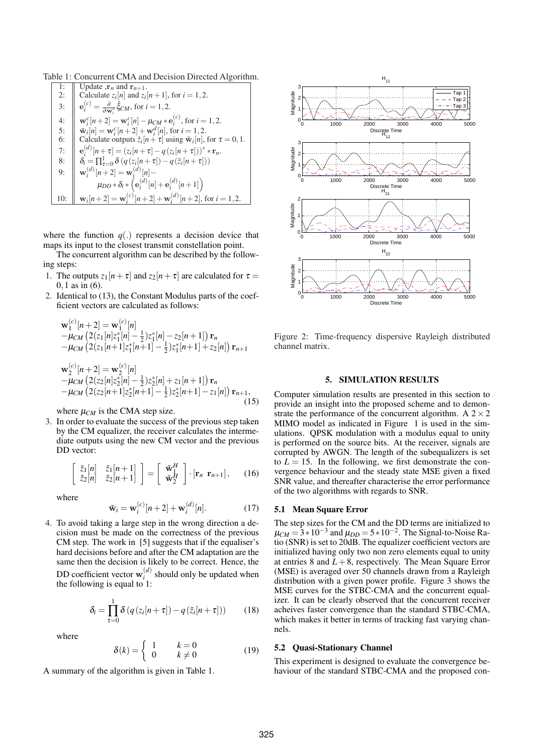Table 1: Concurrent CMA and Decision Directed Algorithm.

1: Update, 
$$
\mathbf{r}_n
$$
 and  $\mathbf{r}_{n+1}$ .  
\n2: Calculate  $z_i[n]$  and  $z_i[n+1]$ , for  $i = 1, 2$ .  
\n3:  $\mathbf{e}_i^{(c)} = \frac{\partial}{\partial \mathbf{w}_i^*} \hat{\xi}_{CM}$ , for  $i = 1, 2$ .  
\n4:  $\mathbf{w}_i^c[n+2] = \mathbf{w}_i^c[n] - \mu_{CM} * \mathbf{e}_i^{(c)}$ , for  $i = 1, 2$ .  
\n5:  $\tilde{\mathbf{w}}_i[n] = \mathbf{w}_i^c[n+2] + \mathbf{w}_i^d[n]$ , for  $i = 1, 2$ .  
\n6: Calculate outputs  $\tilde{z}_i[n+\tau]$  using  $\tilde{\mathbf{w}}_i[n]$ , for  $\tau = 0, 1$ .  
\n7:  $\mathbf{e}_i^{(d)}[n+\tau] = (z_i[n+\tau]-q(z_i[n+\tau]))^* * \mathbf{r}_n$ .  
\n8:  $\delta_i = \prod_{\tau=0}^1 \delta(q(z_i[n+\tau]) - q(\tilde{z}_i[n+\tau]))$   
\n9:  $\mathbf{w}_i^{(d)}[n+2] = \mathbf{w}_i^{(d)}[n]$ .  
\n $\mu_{DD} * \delta_i * (\mathbf{e}_i^{(d)}[n] + \mathbf{e}_i^{(d)}[n+1])$   
\n10:  $\mathbf{w}_i[n+2] = \mathbf{w}_i^{(c)}[n+2] + \mathbf{w}_i^{(d)}[n+2]$ , for  $i = 1, 2$ .

where the function  $q(.)$  represents a decision device that maps its input to the closest transmit constellation point.

The concurrent algorithm can be described by the following steps:

- 1. The outputs  $z_1[n+\tau]$  and  $z_2[n+\tau]$  are calculated for  $\tau =$ 0,1 as in (6).
- 2. Identical to (13), the Constant Modulus parts of the coefficient vectors are calculated as follows:

$$
\mathbf{w}_{1}^{(c)}[n+2] = \mathbf{w}_{1}^{(c)}[n] \n-\mu_{CM} (2(z_{1}[n]z_{1}^{*}[n] - \frac{1}{2})z_{1}^{*}[n] - z_{2}[n+1]) \mathbf{r}_{n} \n-\mu_{CM} (2(z_{1}[n+1]z_{1}^{*}[n+1] - \frac{1}{2})z_{1}^{*}[n+1] + z_{2}[n]) \mathbf{r}_{n+1} \n\mathbf{w}_{2}^{(c)}[n+2] = \mathbf{w}_{2}^{(c)}[n] \n-\mu_{CM} (2(z_{2}[n]z_{2}^{*}[n] - \frac{1}{2})z_{2}^{*}[n] + z_{1}[n+1]) \mathbf{r}_{n} \n-\mu_{CM} (2(z_{2}[n+1]z_{2}^{*}[n+1] - \frac{1}{2})z_{2}^{*}[n+1] - z_{1}[n]) \mathbf{r}_{n+1},
$$
\n(15)

where  $\mu_{CM}$  is the CMA step size.

3. In order to evaluate the success of the previous step taken by the CM equalizer, the receiver calculates the intermediate outputs using the new CM vector and the previous DD vector:

$$
\begin{bmatrix} \tilde{z}_1[n] & \tilde{z}_1[n+1] \\ \tilde{z}_2[n] & \tilde{z}_2[n+1] \end{bmatrix} = \begin{bmatrix} \tilde{\mathbf{w}}_1^H \\ \tilde{\mathbf{w}}_2^H \end{bmatrix} \cdot [\mathbf{r}_n \ \mathbf{r}_{n+1}], \qquad (16)
$$

where

$$
\tilde{\mathbf{w}}_i = \mathbf{w}_i^{(c)}[n+2] + \mathbf{w}_i^{(d)}[n].
$$
 (17)

4. To avoid taking a large step in the wrong direction a decision must be made on the correctness of the previous CM step. The work in [5] suggests that if the equaliser's hard decisions before and after the CM adaptation are the same then the decision is likely to be correct. Hence, the DD coefficient vector  $\mathbf{w}_i^{(d)}$  $i^{(a)}$  should only be updated when the following is equal to  $1$ :

$$
\delta_i = \prod_{\tau=0}^1 \delta\left(q\left(z_i[n+\tau]\right) - q\left(\tilde{z}_i[n+\tau]\right)\right) \tag{18}
$$

where

$$
\delta(k) = \begin{cases} 1 & k = 0 \\ 0 & k \neq 0 \end{cases}
$$
 (19)

A summary of the algorithm is given in Table 1.



Figure 2: Time-frequency dispersive Rayleigh distributed channel matrix.

# 5. SIMULATION RESULTS

Computer simulation results are presented in this section to provide an insight into the proposed scheme and to demonstrate the performance of the concurrent algorithm. A  $2 \times 2$ MIMO model as indicated in Figure 1 is used in the simulations. QPSK modulation with a modulus equal to unity is performed on the source bits. At the receiver, signals are corrupted by AWGN. The length of the subequalizers is set to  $L = 15$ . In the following, we first demonstrate the convergence behaviour and the steady state MSE given a fixed SNR value, and thereafter characterise the error performance of the two algorithms with regards to SNR.

## 5.1 Mean Square Error

The step sizes for the CM and the DD terms are initialized to  $\mu_{CM} = 3*10^{-3}$  and  $\mu_{DD} = 5*10^{-2}$ . The Signal-to-Noise Ratio (SNR) is set to 20dB. The equalizer coefficient vectors are initialized having only two non zero elements equal to unity at entries 8 and  $L + 8$ , respectively. The Mean Square Error (MSE) is averaged over 50 channels drawn from a Rayleigh distribution with a given power profile. Figure 3 shows the MSE curves for the STBC-CMA and the concurrent equalizer. It can be clearly observed that the concurrent receiver acheives faster convergence than the standard STBC-CMA, which makes it better in terms of tracking fast varying channels.

### 5.2 Quasi-Stationary Channel

This experiment is designed to evaluate the convergence behaviour of the standard STBC-CMA and the proposed con-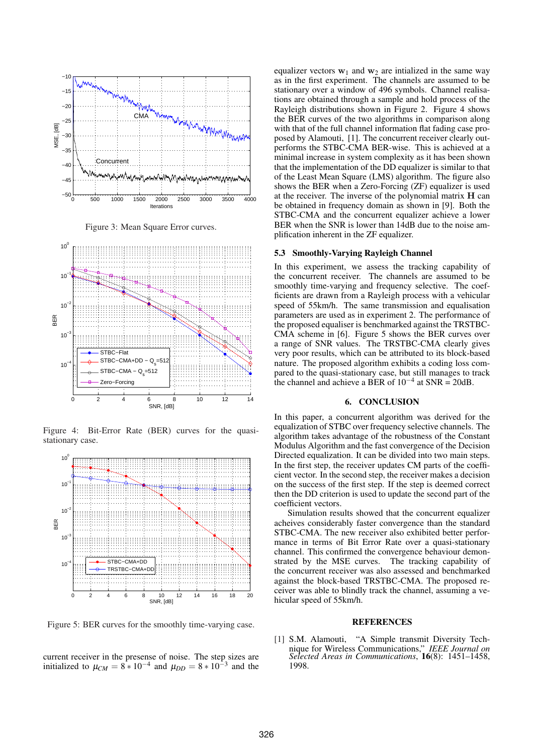

Figure 3: Mean Square Error curves.



Figure 4: Bit-Error Rate (BER) curves for the quasistationary case.



Figure 5: BER curves for the smoothly time-varying case.

current receiver in the presense of noise. The step sizes are initialized to  $\mu_{CM} = 8 \times 10^{-4}$  and  $\mu_{DD} = 8 \times 10^{-3}$  and the

equalizer vectors  $w_1$  and  $w_2$  are intialized in the same way as in the first experiment. The channels are assumed to be stationary over a window of 496 symbols. Channel realisations are obtained through a sample and hold process of the Rayleigh distributions shown in Figure 2. Figure 4 shows the BER curves of the two algorithms in comparison along with that of the full channel information flat fading case proposed by Alamouti, [1]. The concurrent receiver clearly outperforms the STBC-CMA BER-wise. This is achieved at a minimal increase in system complexity as it has been shown that the implementation of the DD equalizer is similar to that of the Least Mean Square (LMS) algorithm. The figure also shows the BER when a Zero-Forcing (ZF) equalizer is used at the receiver. The inverse of the polynomial matrix H can be obtained in frequency domain as shown in [9]. Both the STBC-CMA and the concurrent equalizer achieve a lower BER when the SNR is lower than 14dB due to the noise amplification inherent in the ZF equalizer.

### 5.3 Smoothly-Varying Rayleigh Channel

In this experiment, we assess the tracking capability of the concurrent receiver. The channels are assumed to be smoothly time-varying and frequency selective. The coefficients are drawn from a Rayleigh process with a vehicular speed of 55km/h. The same transmission and equalisation parameters are used as in experiment 2. The performance of the proposed equaliser is benchmarked against the TRSTBC-CMA scheme in [6]. Figure 5 shows the BER curves over a range of SNR values. The TRSTBC-CMA clearly gives very poor results, which can be attributed to its block-based nature. The proposed algorithm exhibits a coding loss compared to the quasi-stationary case, but still manages to track the channel and achieve a BER of  $10^{-4}$  at SNR = 20dB.

### 6. CONCLUSION

In this paper, a concurrent algorithm was derived for the equalization of STBC over frequency selective channels. The algorithm takes advantage of the robustness of the Constant Modulus Algorithm and the fast convergence of the Decision Directed equalization. It can be divided into two main steps. In the first step, the receiver updates CM parts of the coefficient vector. In the second step, the receiver makes a decision on the success of the first step. If the step is deemed correct then the DD criterion is used to update the second part of the coefficient vectors.

Simulation results showed that the concurrent equalizer acheives considerably faster convergence than the standard STBC-CMA. The new receiver also exhibited better performance in terms of Bit Error Rate over a quasi-stationary channel. This confirmed the convergence behaviour demonstrated by the MSE curves. The tracking capability of the concurrent receiver was also assessed and benchmarked against the block-based TRSTBC-CMA. The proposed receiver was able to blindly track the channel, assuming a vehicular speed of 55km/h.

### **REFERENCES**

[1] S.M. Alamouti, "A Simple transmit Diversity Technique for Wireless Communications," *IEEE Journal on Selected Areas in Communications*, 16(8): 1451–1458, 1998.